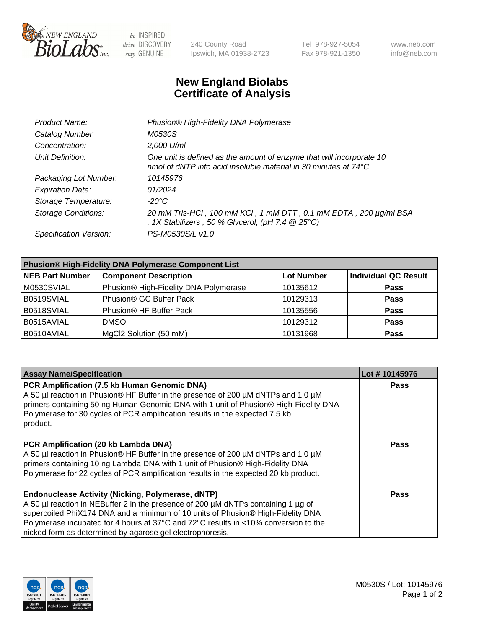

be INSPIRED drive DISCOVERY stay GENUINE

240 County Road Ipswich, MA 01938-2723 Tel 978-927-5054 Fax 978-921-1350 www.neb.com info@neb.com

## **New England Biolabs Certificate of Analysis**

| Product Name:              | Phusion® High-Fidelity DNA Polymerase                                                                                                              |
|----------------------------|----------------------------------------------------------------------------------------------------------------------------------------------------|
| Catalog Number:            | M0530S                                                                                                                                             |
| Concentration:             | 2,000 U/ml                                                                                                                                         |
| Unit Definition:           | One unit is defined as the amount of enzyme that will incorporate 10<br>nmol of dNTP into acid insoluble material in 30 minutes at $74^{\circ}$ C. |
| Packaging Lot Number:      | 10145976                                                                                                                                           |
| <b>Expiration Date:</b>    | 01/2024                                                                                                                                            |
| Storage Temperature:       | -20°C                                                                                                                                              |
| <b>Storage Conditions:</b> | 20 mM Tris-HCl, 100 mM KCl, 1 mM DTT, 0.1 mM EDTA, 200 µg/ml BSA<br>, 1X Stabilizers, 50 % Glycerol, (pH 7.4 $@25°C$ )                             |
| Specification Version:     | PS-M0530S/L v1.0                                                                                                                                   |

| <b>Phusion® High-Fidelity DNA Polymerase Component List</b> |                                       |                   |                             |  |
|-------------------------------------------------------------|---------------------------------------|-------------------|-----------------------------|--|
| <b>NEB Part Number</b>                                      | <b>Component Description</b>          | <b>Lot Number</b> | <b>Individual QC Result</b> |  |
| M0530SVIAL                                                  | Phusion® High-Fidelity DNA Polymerase | 10135612          | <b>Pass</b>                 |  |
| B0519SVIAL                                                  | Phusion <sup>®</sup> GC Buffer Pack   | 10129313          | <b>Pass</b>                 |  |
| B0518SVIAL                                                  | Phusion® HF Buffer Pack               | 10135556          | <b>Pass</b>                 |  |
| B0515AVIAL                                                  | <b>DMSO</b>                           | 10129312          | <b>Pass</b>                 |  |
| B0510AVIAL                                                  | MgCl2 Solution (50 mM)                | 10131968          | <b>Pass</b>                 |  |

| <b>Assay Name/Specification</b>                                                                                                                                                                                                                                                                                                                                                      | Lot #10145976 |
|--------------------------------------------------------------------------------------------------------------------------------------------------------------------------------------------------------------------------------------------------------------------------------------------------------------------------------------------------------------------------------------|---------------|
| PCR Amplification (7.5 kb Human Genomic DNA)<br>A 50 µl reaction in Phusion® HF Buffer in the presence of 200 µM dNTPs and 1.0 µM<br>primers containing 50 ng Human Genomic DNA with 1 unit of Phusion® High-Fidelity DNA<br>Polymerase for 30 cycles of PCR amplification results in the expected 7.5 kb<br>product.                                                                | <b>Pass</b>   |
| PCR Amplification (20 kb Lambda DNA)<br>A 50 µl reaction in Phusion® HF Buffer in the presence of 200 µM dNTPs and 1.0 µM<br>primers containing 10 ng Lambda DNA with 1 unit of Phusion® High-Fidelity DNA<br>Polymerase for 22 cycles of PCR amplification results in the expected 20 kb product.                                                                                   | Pass          |
| <b>Endonuclease Activity (Nicking, Polymerase, dNTP)</b><br>A 50 µl reaction in NEBuffer 2 in the presence of 200 µM dNTPs containing 1 µg of<br>supercoiled PhiX174 DNA and a minimum of 10 units of Phusion® High-Fidelity DNA<br>Polymerase incubated for 4 hours at 37°C and 72°C results in <10% conversion to the<br>nicked form as determined by agarose gel electrophoresis. | Pass          |